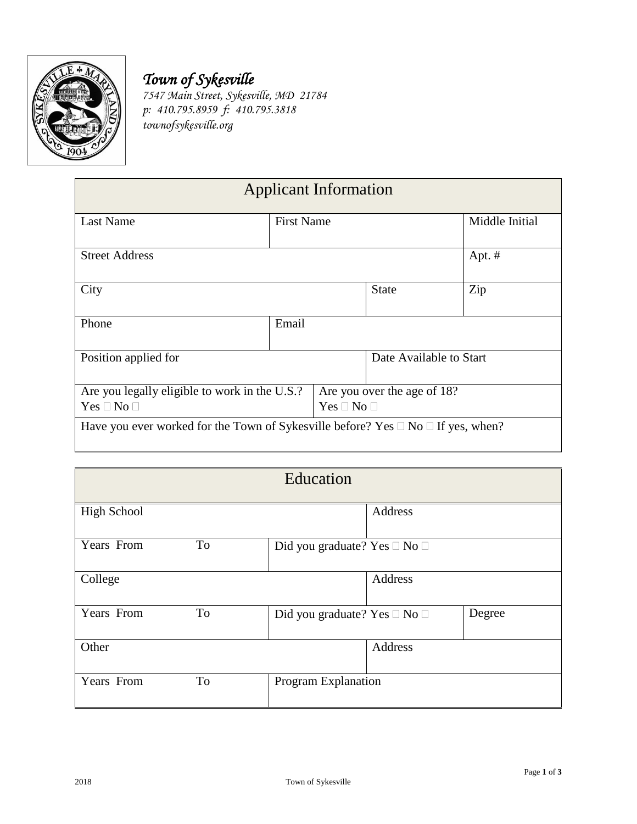

## *Town of Sykesville*

*7547 Main Street, Sykesville, MD 21784 p: 410.795.8959 f: 410.795.3818 townofsykesville.org*

| <b>Applicant Information</b>                                                                                     |                   |                                                   |                         |          |
|------------------------------------------------------------------------------------------------------------------|-------------------|---------------------------------------------------|-------------------------|----------|
| Last Name                                                                                                        | <b>First Name</b> |                                                   | Middle Initial          |          |
| <b>Street Address</b>                                                                                            |                   |                                                   |                         | Apt. $#$ |
| City                                                                                                             |                   |                                                   | <b>State</b>            | Zip      |
| Phone                                                                                                            | Email             |                                                   |                         |          |
| Position applied for                                                                                             |                   |                                                   | Date Available to Start |          |
| Are you legally eligible to work in the U.S.?                                                                    |                   | Are you over the age of 18?<br>$Yes \Box No \Box$ |                         |          |
| $Yes \Box No \Box$<br>Have you ever worked for the Town of Sykesville before? Yes $\Box$ No $\Box$ If yes, when? |                   |                                                   |                         |          |
|                                                                                                                  |                   |                                                   |                         |          |

| Education          |    |                                        |         |        |
|--------------------|----|----------------------------------------|---------|--------|
| <b>High School</b> |    |                                        | Address |        |
| Years From         | To | Did you graduate? Yes □ No □           |         |        |
| College            |    |                                        | Address |        |
| Years From         | To | Did you graduate? Yes $\Box$ No $\Box$ |         | Degree |
| Other              |    |                                        | Address |        |
| Years From         | To | Program Explanation                    |         |        |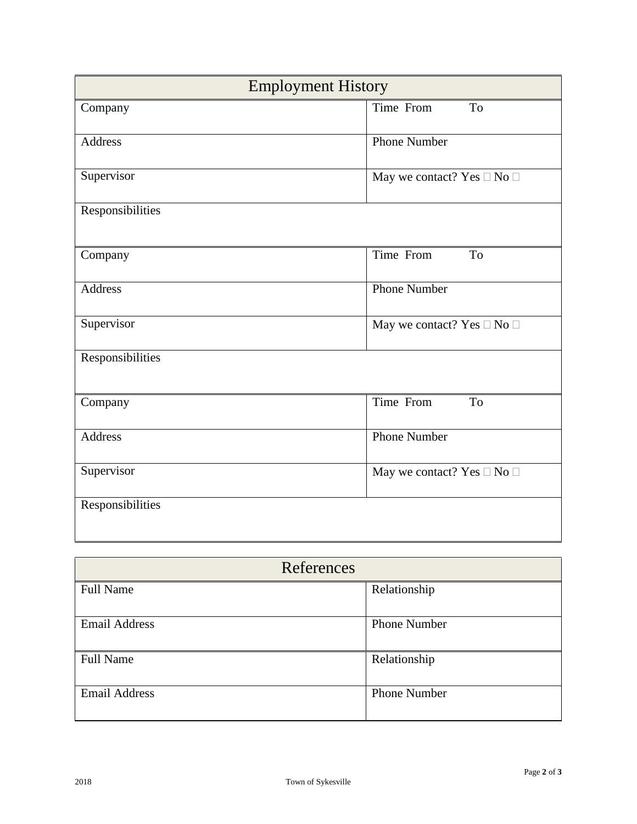| <b>Employment History</b> |                                            |  |
|---------------------------|--------------------------------------------|--|
| Company                   | Time From<br>To                            |  |
| Address                   | Phone Number                               |  |
| Supervisor                | May we contact? Yes $\square$ No $\square$ |  |
| Responsibilities          |                                            |  |
| Company                   | Time From<br>To                            |  |
| <b>Address</b>            | <b>Phone Number</b>                        |  |
| Supervisor                | May we contact? Yes $\square$ No $\square$ |  |
| Responsibilities          |                                            |  |
| Company                   | Time From<br>To                            |  |
| <b>Address</b>            | <b>Phone Number</b>                        |  |
| Supervisor                | May we contact? Yes $\square$ No $\square$ |  |
| Responsibilities          |                                            |  |

| References           |                     |
|----------------------|---------------------|
| <b>Full Name</b>     | Relationship        |
| <b>Email Address</b> | <b>Phone Number</b> |
| <b>Full Name</b>     | Relationship        |
| <b>Email Address</b> | <b>Phone Number</b> |